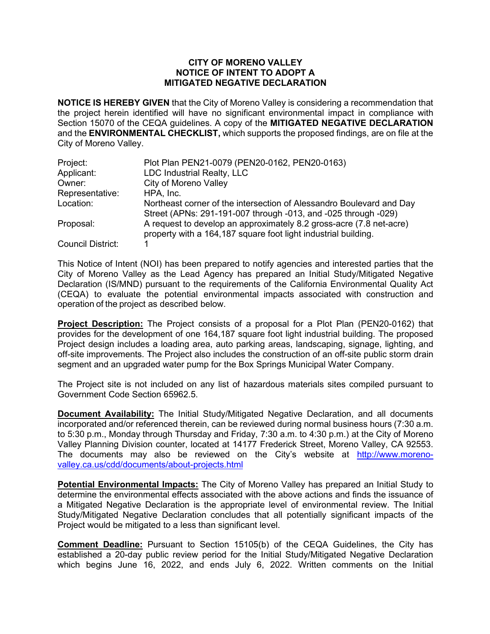## **CITY OF MORENO VALLEY NOTICE OF INTENT TO ADOPT A MITIGATED NEGATIVE DECLARATION**

**NOTICE IS HEREBY GIVEN** that the City of Moreno Valley is considering a recommendation that the project herein identified will have no significant environmental impact in compliance with Section 15070 of the CEQA guidelines. A copy of the **MITIGATED NEGATIVE DECLARATION**  and the **ENVIRONMENTAL CHECKLIST,** which supports the proposed findings, are on file at the City of Moreno Valley.

| Project:                 | Plot Plan PEN21-0079 (PEN20-0162, PEN20-0163)                                                                                          |
|--------------------------|----------------------------------------------------------------------------------------------------------------------------------------|
| Applicant:               | LDC Industrial Realty, LLC                                                                                                             |
| Owner:                   | City of Moreno Valley                                                                                                                  |
| Representative:          | HPA, Inc.                                                                                                                              |
| Location:                | Northeast corner of the intersection of Alessandro Boulevard and Day<br>Street (APNs: 291-191-007 through -013, and -025 through -029) |
| Proposal:                | A request to develop an approximately 8.2 gross-acre (7.8 net-acre)<br>property with a 164,187 square foot light industrial building.  |
| <b>Council District:</b> |                                                                                                                                        |

This Notice of Intent (NOI) has been prepared to notify agencies and interested parties that the City of Moreno Valley as the Lead Agency has prepared an Initial Study/Mitigated Negative Declaration (IS/MND) pursuant to the requirements of the California Environmental Quality Act (CEQA) to evaluate the potential environmental impacts associated with construction and operation of the project as described below.

**Project Description:** The Project consists of a proposal for a Plot Plan (PEN20-0162) that provides for the development of one 164,187 square foot light industrial building. The proposed Project design includes a loading area, auto parking areas, landscaping, signage, lighting, and off-site improvements. The Project also includes the construction of an off-site public storm drain segment and an upgraded water pump for the Box Springs Municipal Water Company.

The Project site is not included on any list of hazardous materials sites compiled pursuant to Government Code Section 65962.5.

**Document Availability:** The Initial Study/Mitigated Negative Declaration, and all documents incorporated and/or referenced therein, can be reviewed during normal business hours (7:30 a.m. to 5:30 p.m., Monday through Thursday and Friday, 7:30 a.m. to 4:30 p.m.) at the City of Moreno Valley Planning Division counter, located at 14177 Frederick Street, Moreno Valley, CA 92553. The documents may also be reviewed on the City's website at [http://www.moreno](http://www.moreno-valley.ca.us/cdd/documents/about-projects.html)[valley.ca.us/cdd/documents/about-projects.html](http://www.moreno-valley.ca.us/cdd/documents/about-projects.html)

**Potential Environmental Impacts:** The City of Moreno Valley has prepared an Initial Study to determine the environmental effects associated with the above actions and finds the issuance of a Mitigated Negative Declaration is the appropriate level of environmental review. The Initial Study/Mitigated Negative Declaration concludes that all potentially significant impacts of the Project would be mitigated to a less than significant level.

**Comment Deadline:** Pursuant to Section 15105(b) of the CEQA Guidelines, the City has established a 20-day public review period for the Initial Study/Mitigated Negative Declaration which begins June 16, 2022, and ends July 6, 2022. Written comments on the Initial